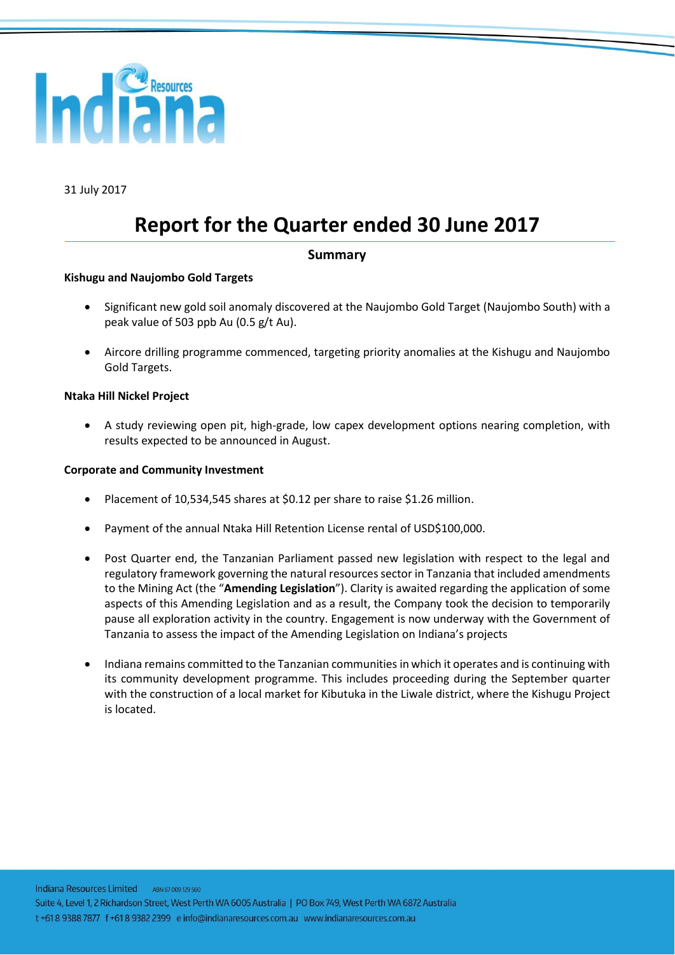

31 July 2017

# **Report for the Quarter ended 30 June 2017**

#### **Summary**

#### **Kishugu and Naujombo Gold Targets**

- Significant new gold soil anomaly discovered at the Naujombo Gold Target (Naujombo South) with a peak value of 503 ppb Au (0.5 g/t Au).
- Aircore drilling programme commenced, targeting priority anomalies at the Kishugu and Naujombo Gold Targets.

#### **Ntaka Hill Nickel Project**

• A study reviewing open pit, high-grade, low capex development options nearing completion, with results expected to be announced in August.

#### **Corporate and Community Investment**

- Placement of 10,534,545 shares at \$0.12 per share to raise \$1.26 million.
- Payment of the annual Ntaka Hill Retention License rental of USD\$100,000.
- Post Quarter end, the Tanzanian Parliament passed new legislation with respect to the legal and regulatory framework governing the natural resources sector in Tanzania that included amendments to the Mining Act (the "**Amending Legislation**"). Clarity is awaited regarding the application of some aspects of this Amending Legislation and as a result, the Company took the decision to temporarily pause all exploration activity in the country. Engagement is now underway with the Government of Tanzania to assess the impact of the Amending Legislation on Indiana's projects
- Indiana remains committed to the Tanzanian communities in which it operates and is continuing with its community development programme. This includes proceeding during the September quarter with the construction of a local market for Kibutuka in the Liwale district, where the Kishugu Project is located.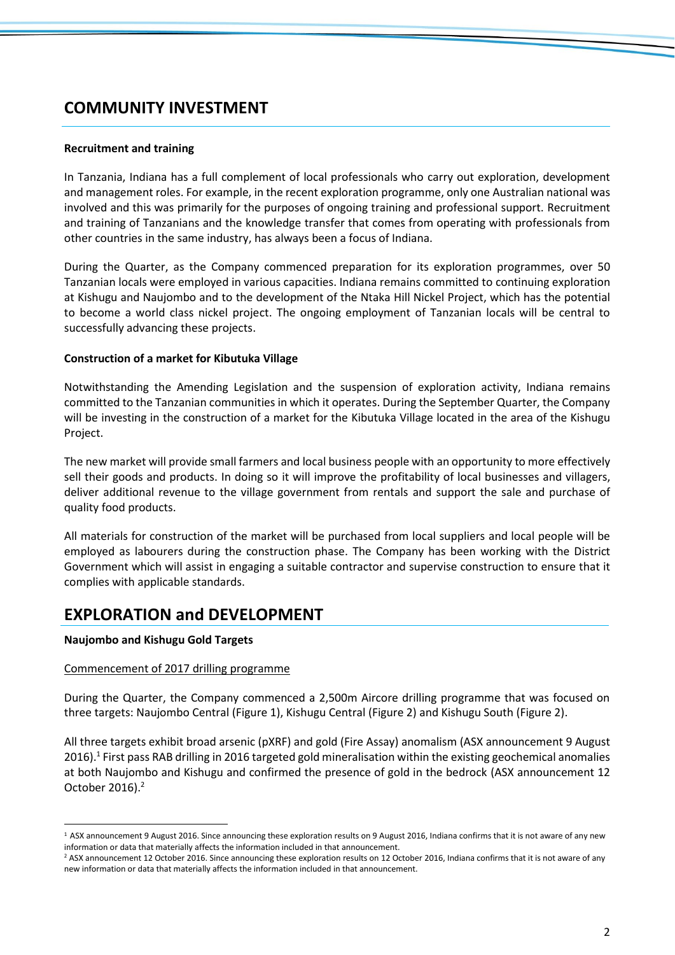### **COMMUNITY INVESTMENT**

#### **Recruitment and training**

In Tanzania, Indiana has a full complement of local professionals who carry out exploration, development and management roles. For example, in the recent exploration programme, only one Australian national was involved and this was primarily for the purposes of ongoing training and professional support. Recruitment and training of Tanzanians and the knowledge transfer that comes from operating with professionals from other countries in the same industry, has always been a focus of Indiana.

During the Quarter, as the Company commenced preparation for its exploration programmes, over 50 Tanzanian locals were employed in various capacities. Indiana remains committed to continuing exploration at Kishugu and Naujombo and to the development of the Ntaka Hill Nickel Project, which has the potential to become a world class nickel project. The ongoing employment of Tanzanian locals will be central to successfully advancing these projects.

#### **Construction of a market for Kibutuka Village**

Notwithstanding the Amending Legislation and the suspension of exploration activity, Indiana remains committed to the Tanzanian communities in which it operates. During the September Quarter, the Company will be investing in the construction of a market for the Kibutuka Village located in the area of the Kishugu Project.

The new market will provide small farmers and local business people with an opportunity to more effectively sell their goods and products. In doing so it will improve the profitability of local businesses and villagers, deliver additional revenue to the village government from rentals and support the sale and purchase of quality food products.

All materials for construction of the market will be purchased from local suppliers and local people will be employed as labourers during the construction phase. The Company has been working with the District Government which will assist in engaging a suitable contractor and supervise construction to ensure that it complies with applicable standards.

### **EXPLORATION and DEVELOPMENT**

#### **Naujombo and Kishugu Gold Targets**

 $\overline{a}$ 

#### Commencement of 2017 drilling programme

During the Quarter, the Company commenced a 2,500m Aircore drilling programme that was focused on three targets: Naujombo Central (Figure 1), Kishugu Central (Figure 2) and Kishugu South (Figure 2).

All three targets exhibit broad arsenic (pXRF) and gold (Fire Assay) anomalism (ASX announcement 9 August 2016).<sup>1</sup> First pass RAB drilling in 2016 targeted gold mineralisation within the existing geochemical anomalies at both Naujombo and Kishugu and confirmed the presence of gold in the bedrock (ASX announcement 12 October 2016). 2

<sup>&</sup>lt;sup>1</sup> ASX announcement 9 August 2016. Since announcing these exploration results on 9 August 2016, Indiana confirms that it is not aware of any new information or data that materially affects the information included in that announcement.

<sup>&</sup>lt;sup>2</sup> ASX announcement 12 October 2016. Since announcing these exploration results on 12 October 2016, Indiana confirms that it is not aware of any new information or data that materially affects the information included in that announcement.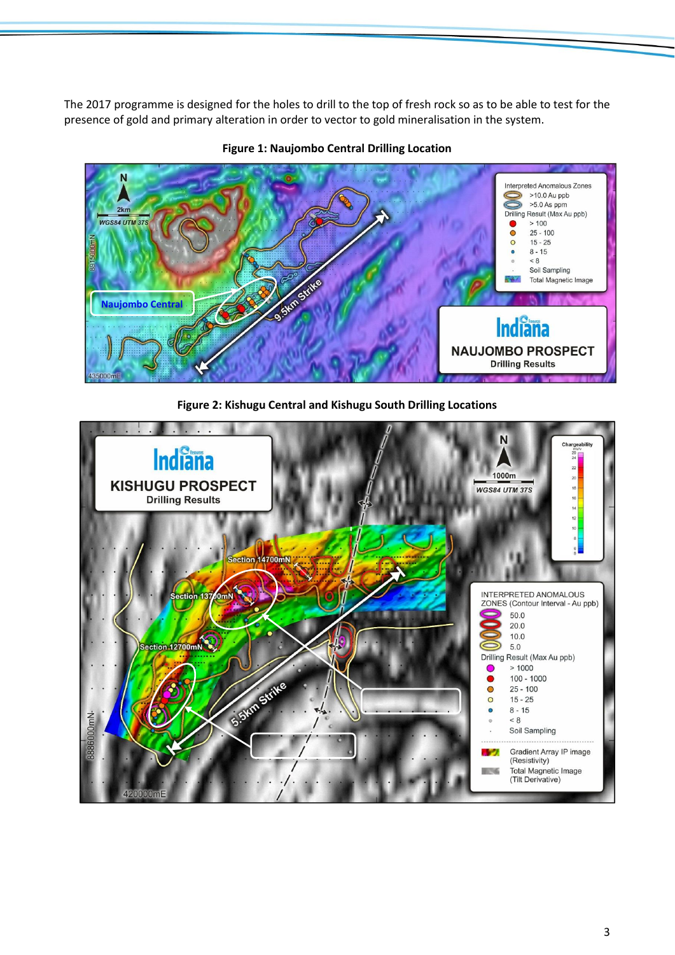The 2017 programme is designed for the holes to drill to the top of fresh rock so as to be able to test for the presence of gold and primary alteration in order to vector to gold mineralisation in the system.



**Figure 1: Naujombo Central Drilling Location**



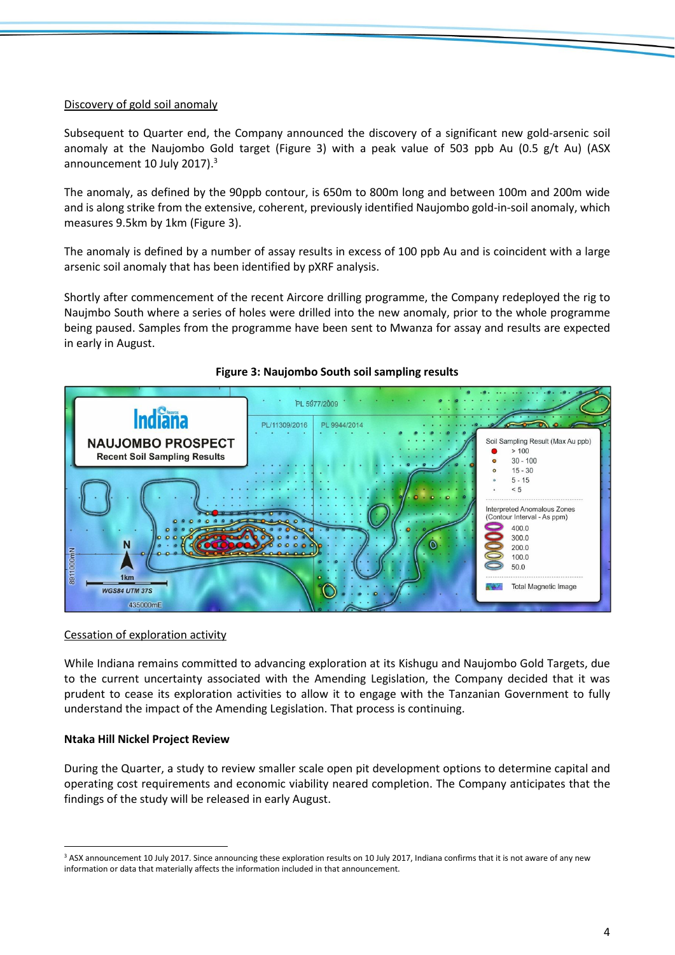#### Discovery of gold soil anomaly

Subsequent to Quarter end, the Company announced the discovery of a significant new gold-arsenic soil anomaly at the Naujombo Gold target (Figure 3) with a peak value of 503 ppb Au (0.5 g/t Au) (ASX announcement 10 July 2017).<sup>3</sup>

The anomaly, as defined by the 90ppb contour, is 650m to 800m long and between 100m and 200m wide and is along strike from the extensive, coherent, previously identified Naujombo gold-in-soil anomaly, which measures 9.5km by 1km (Figure 3).

The anomaly is defined by a number of assay results in excess of 100 ppb Au and is coincident with a large arsenic soil anomaly that has been identified by pXRF analysis.

Shortly after commencement of the recent Aircore drilling programme, the Company redeployed the rig to Naujmbo South where a series of holes were drilled into the new anomaly, prior to the whole programme being paused. Samples from the programme have been sent to Mwanza for assay and results are expected in early in August.



#### **Figure 3: Naujombo South soil sampling results**

#### Cessation of exploration activity

While Indiana remains committed to advancing exploration at its Kishugu and Naujombo Gold Targets, due to the current uncertainty associated with the Amending Legislation, the Company decided that it was prudent to cease its exploration activities to allow it to engage with the Tanzanian Government to fully understand the impact of the Amending Legislation. That process is continuing.

#### **Ntaka Hill Nickel Project Review**

 $\overline{a}$ 

During the Quarter, a study to review smaller scale open pit development options to determine capital and operating cost requirements and economic viability neared completion. The Company anticipates that the findings of the study will be released in early August.

<sup>&</sup>lt;sup>3</sup> ASX announcement 10 July 2017. Since announcing these exploration results on 10 July 2017, Indiana confirms that it is not aware of any new information or data that materially affects the information included in that announcement.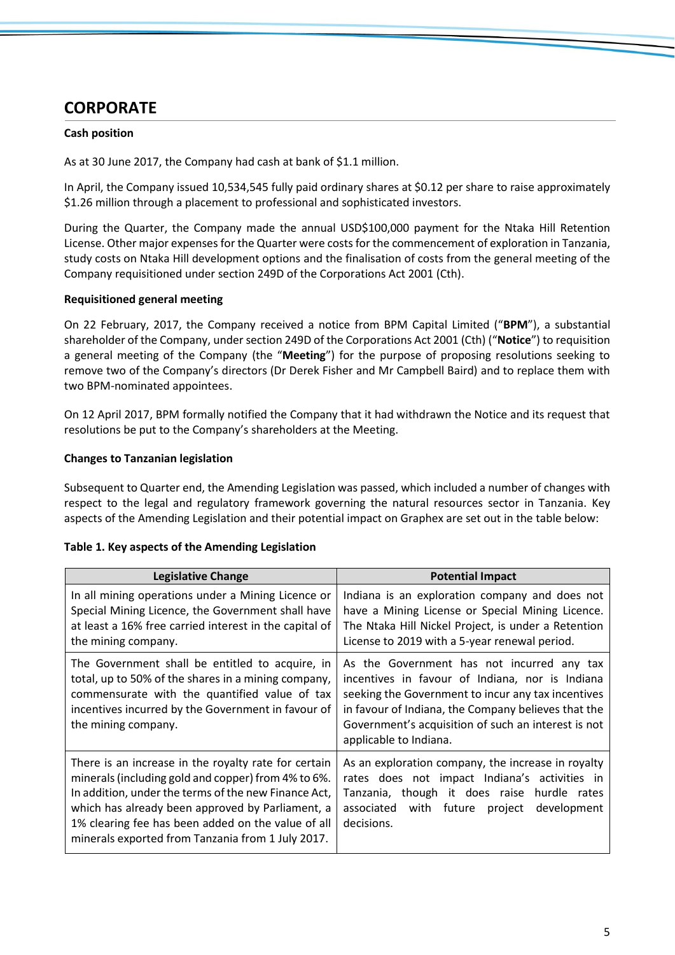# **CORPORATE**

#### **Cash position**

As at 30 June 2017, the Company had cash at bank of \$1.1 million.

In April, the Company issued 10,534,545 fully paid ordinary shares at \$0.12 per share to raise approximately \$1.26 million through a placement to professional and sophisticated investors.

During the Quarter, the Company made the annual USD\$100,000 payment for the Ntaka Hill Retention License. Other major expenses for the Quarter were costs for the commencement of exploration in Tanzania, study costs on Ntaka Hill development options and the finalisation of costs from the general meeting of the Company requisitioned under section 249D of the Corporations Act 2001 (Cth).

#### **Requisitioned general meeting**

On 22 February, 2017, the Company received a notice from BPM Capital Limited ("**BPM**"), a substantial shareholder of the Company, under section 249D of the Corporations Act 2001 (Cth) ("**Notice**") to requisition a general meeting of the Company (the "**Meeting**") for the purpose of proposing resolutions seeking to remove two of the Company's directors (Dr Derek Fisher and Mr Campbell Baird) and to replace them with two BPM-nominated appointees.

On 12 April 2017, BPM formally notified the Company that it had withdrawn the Notice and its request that resolutions be put to the Company's shareholders at the Meeting.

#### **Changes to Tanzanian legislation**

Subsequent to Quarter end, the Amending Legislation was passed, which included a number of changes with respect to the legal and regulatory framework governing the natural resources sector in Tanzania. Key aspects of the Amending Legislation and their potential impact on Graphex are set out in the table below:

|  |  |  |  | Table 1. Key aspects of the Amending Legislation |
|--|--|--|--|--------------------------------------------------|
|--|--|--|--|--------------------------------------------------|

| <b>Legislative Change</b>                                                                                                                                                                                                                                                                                                          | <b>Potential Impact</b>                                                                                                                                                                                                                                                                     |
|------------------------------------------------------------------------------------------------------------------------------------------------------------------------------------------------------------------------------------------------------------------------------------------------------------------------------------|---------------------------------------------------------------------------------------------------------------------------------------------------------------------------------------------------------------------------------------------------------------------------------------------|
| In all mining operations under a Mining Licence or<br>Special Mining Licence, the Government shall have<br>at least a 16% free carried interest in the capital of<br>the mining company.                                                                                                                                           | Indiana is an exploration company and does not<br>have a Mining License or Special Mining Licence.<br>The Ntaka Hill Nickel Project, is under a Retention<br>License to 2019 with a 5-year renewal period.                                                                                  |
| The Government shall be entitled to acquire, in<br>total, up to 50% of the shares in a mining company,<br>commensurate with the quantified value of tax<br>incentives incurred by the Government in favour of<br>the mining company.                                                                                               | As the Government has not incurred any tax<br>incentives in favour of Indiana, nor is Indiana<br>seeking the Government to incur any tax incentives<br>in favour of Indiana, the Company believes that the<br>Government's acquisition of such an interest is not<br>applicable to Indiana. |
| There is an increase in the royalty rate for certain<br>minerals (including gold and copper) from 4% to 6%.<br>In addition, under the terms of the new Finance Act,<br>which has already been approved by Parliament, a<br>1% clearing fee has been added on the value of all<br>minerals exported from Tanzania from 1 July 2017. | As an exploration company, the increase in royalty<br>rates does not impact Indiana's activities in<br>Tanzania, though it does raise hurdle rates<br>associated with future<br>development<br>project<br>decisions.                                                                        |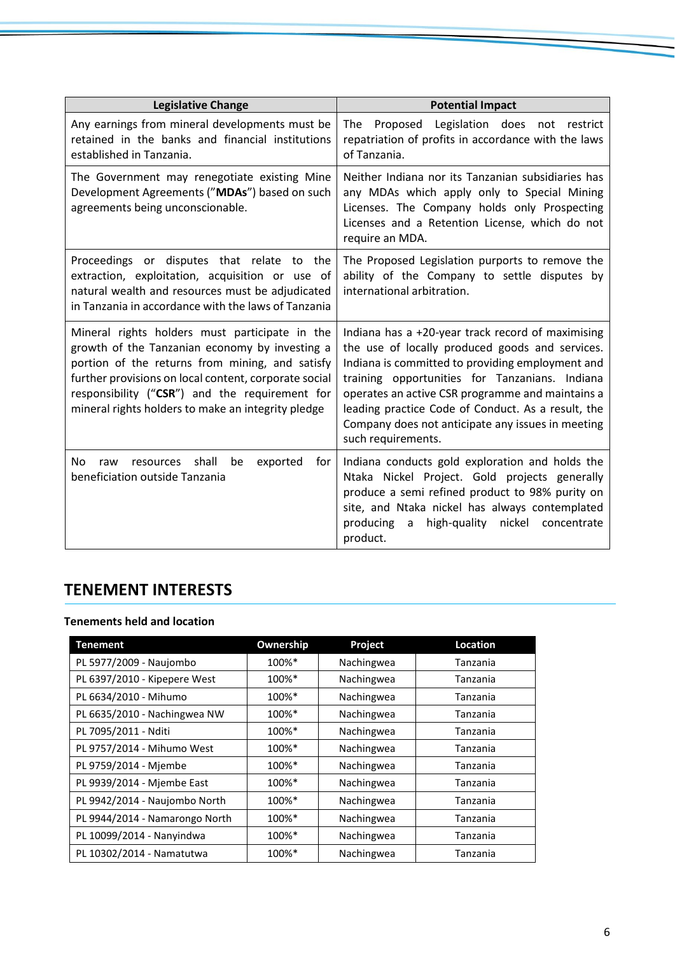| <b>Legislative Change</b>                                                                                                                                                                                                                                                                                            | <b>Potential Impact</b>                                                                                                                                                                                                                                                                                                                                                                         |
|----------------------------------------------------------------------------------------------------------------------------------------------------------------------------------------------------------------------------------------------------------------------------------------------------------------------|-------------------------------------------------------------------------------------------------------------------------------------------------------------------------------------------------------------------------------------------------------------------------------------------------------------------------------------------------------------------------------------------------|
| Any earnings from mineral developments must be<br>retained in the banks and financial institutions<br>established in Tanzania.                                                                                                                                                                                       | Proposed Legislation does not restrict<br>The<br>repatriation of profits in accordance with the laws<br>of Tanzania.                                                                                                                                                                                                                                                                            |
| The Government may renegotiate existing Mine<br>Development Agreements ("MDAs") based on such<br>agreements being unconscionable.                                                                                                                                                                                    | Neither Indiana nor its Tanzanian subsidiaries has<br>any MDAs which apply only to Special Mining<br>Licenses. The Company holds only Prospecting<br>Licenses and a Retention License, which do not<br>require an MDA.                                                                                                                                                                          |
| Proceedings or disputes that relate to<br>the<br>extraction, exploitation, acquisition or use of<br>natural wealth and resources must be adjudicated<br>in Tanzania in accordance with the laws of Tanzania                                                                                                          | The Proposed Legislation purports to remove the<br>ability of the Company to settle disputes by<br>international arbitration.                                                                                                                                                                                                                                                                   |
| Mineral rights holders must participate in the<br>growth of the Tanzanian economy by investing a<br>portion of the returns from mining, and satisfy<br>further provisions on local content, corporate social<br>responsibility ("CSR") and the requirement for<br>mineral rights holders to make an integrity pledge | Indiana has a +20-year track record of maximising<br>the use of locally produced goods and services.<br>Indiana is committed to providing employment and<br>training opportunities for Tanzanians. Indiana<br>operates an active CSR programme and maintains a<br>leading practice Code of Conduct. As a result, the<br>Company does not anticipate any issues in meeting<br>such requirements. |
| shall<br>be<br>N <sub>0</sub><br>exported<br>for<br>raw<br>resources<br>beneficiation outside Tanzania                                                                                                                                                                                                               | Indiana conducts gold exploration and holds the<br>Ntaka Nickel Project. Gold projects generally<br>produce a semi refined product to 98% purity on<br>site, and Ntaka nickel has always contemplated<br>producing<br>high-quality<br>nickel<br>concentrate<br>a<br>product.                                                                                                                    |

# **TENEMENT INTERESTS**

#### **Tenements held and location**

| <b>Tenement</b>                | Ownership | Project    | Location |
|--------------------------------|-----------|------------|----------|
| PL 5977/2009 - Naujombo        | 100%*     | Nachingwea | Tanzania |
| PL 6397/2010 - Kipepere West   | 100%*     | Nachingwea | Tanzania |
| PL 6634/2010 - Mihumo          | 100%*     | Nachingwea | Tanzania |
| PL 6635/2010 - Nachingwea NW   | 100%*     | Nachingwea | Tanzania |
| PL 7095/2011 - Nditi           | 100%*     | Nachingwea | Tanzania |
| PL 9757/2014 - Mihumo West     | 100%*     | Nachingwea | Tanzania |
| PL 9759/2014 - Mjembe          | 100%*     | Nachingwea | Tanzania |
| PL 9939/2014 - Mjembe East     | 100%*     | Nachingwea | Tanzania |
| PL 9942/2014 - Naujombo North  | 100%*     | Nachingwea | Tanzania |
| PL 9944/2014 - Namarongo North | 100%*     | Nachingwea | Tanzania |
| PL 10099/2014 - Nanyindwa      | 100%*     | Nachingwea | Tanzania |
| PL 10302/2014 - Namatutwa      | 100%*     | Nachingwea | Tanzania |